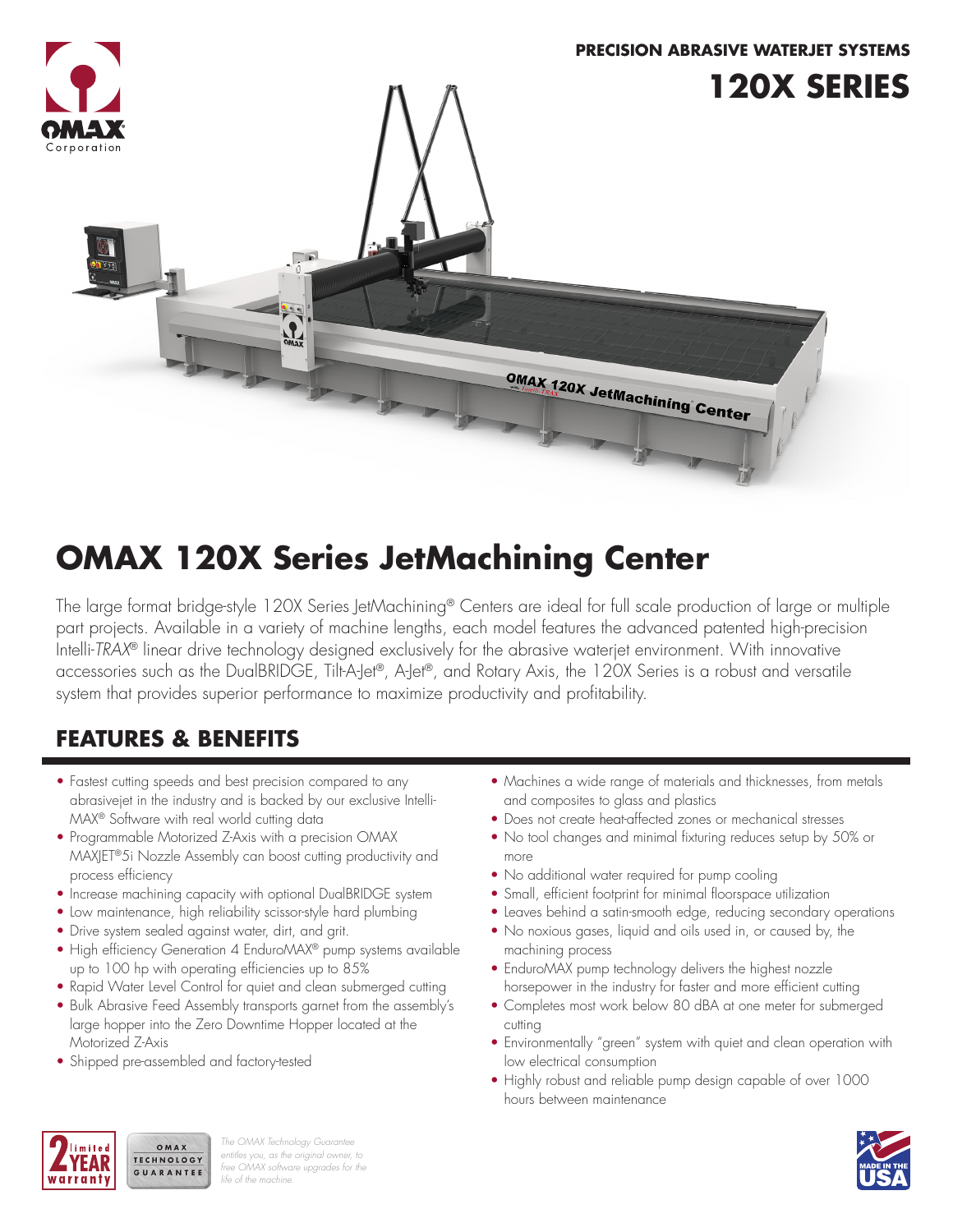

# **OMAX 120X Series JetMachining Center**

The large format bridge-style 120X Series JetMachining® Centers are ideal for full scale production of large or multiple part projects. Available in a variety of machine lengths, each model features the advanced patented high-precision Intelli-*TRAX*® linear drive technology designed exclusively for the abrasive waterjet environment. With innovative accessories such as the DualBRIDGE, Tilt-A-Jet®, A-Jet®, and Rotary Axis, the 120X Series is a robust and versatile system that provides superior performance to maximize productivity and profitability.

# **FEATURES & BENEFITS**

- Fastest cutting speeds and best precision compared to any abrasivejet in the industry and is backed by our exclusive Intelli-MAX® Software with real world cutting data
- Programmable Motorized Z-Axis with a precision OMAX MAXJET®5i Nozzle Assembly can boost cutting productivity and process efficiency
- Increase machining capacity with optional DualBRIDGE system
- Low maintenance, high reliability scissor-style hard plumbing
- Drive system sealed against water, dirt, and grit.
- High efficiency Generation 4 EnduroMAX® pump systems available up to 100 hp with operating efficiencies up to 85%
- Rapid Water Level Control for quiet and clean submerged cutting
- Bulk Abrasive Feed Assembly transports garnet from the assembly's large hopper into the Zero Downtime Hopper located at the Motorized Z-Axis
- Shipped pre-assembled and factory-tested

OMAX

- Machines a wide range of materials and thicknesses, from metals and composites to glass and plastics
- Does not create heat-affected zones or mechanical stresses
- No tool changes and minimal fixturing reduces setup by 50% or more
- No additional water required for pump cooling
- Small, efficient footprint for minimal floorspace utilization
- Leaves behind a satin-smooth edge, reducing secondary operations
- No noxious gases, liquid and oils used in, or caused by, the machining process
- EnduroMAX pump technology delivers the highest nozzle horsepower in the industry for faster and more efficient cutting
- Completes most work below 80 dBA at one meter for submerged cutting
- Environmentally "green" system with quiet and clean operation with low electrical consumption
- Highly robust and reliable pump design capable of over 1000 hours between maintenance



*The OMAX Technology Guarantee entitles you, as the original owner, to free OMAX software upgrades for the life of the machine.*